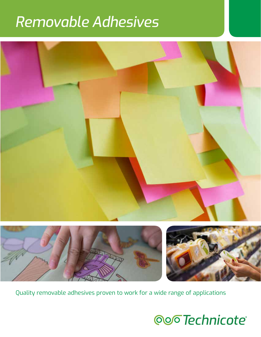# *Removable Adhesives*



Quality removable adhesives proven to work for a wide range of applications

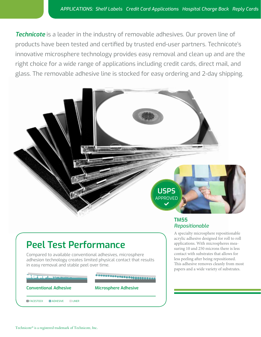**Technicote** is a leader in the industry of removable adhesives. Our proven line of products have been tested and certified by trusted end-user partners. Technicote's innovative microsphere technology provides easy removal and clean up and are the right choice for a wide range of applications including credit cards, direct mail, and glass. The removable adhesive line is stocked for easy ordering and 2-day shipping.



#### **TM55** *Repositionable*

A specialty microsphere repositionable acrylic adhesive designed for roll to roll applications. With microspheres measuring 10 and 250 microns there is less contact with substrates that allows for less peeling after being repositioned. This adhesive removes cleanly from most papers and a wide variety of substrates.

# **Peel Test Performance**

Compared to available conventional adhesives, microsphere adhesion technology creates limited physical contact that results in easy removal and stable peel over time.

**Conventional Adhesive Microsphere Adhesive**

**D** FACESTOCK **D** ADHESIVE **CALL ADELINER** 

Technicote® is a registered trademark of Technicote, Inc.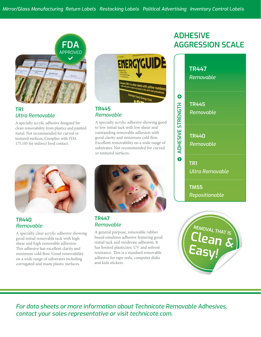

### **TR1** *Ultra Removable*

A specialty acrylic adhesive designed for clean removability from plastics and painted metal. Not recommended for curved or textured surfaces. Complies with FDA 175.105 for indirect food contact.



**TR440** *Removable*

A specialty clear acrylic adhesive showing good initial removable tack with high shear and high removable adhesion. This adhesive has excellent clarity and minimum cold flow. Good removability on a wide range of substrates including corrugated and many plastic surfaces.



### **TR445** *Removable*

A specialty acrylic adhesive showing good to low initial tack with low shear and outstanding removable adhesion with good clarity and minimum cold flow. Excellent removability on a wide range of substrates. Not recommended for curved or textured surfaces.



#### **TR447** *Removable*

A general purpose, removable rubber based emulsion adhesive featuring good initial tack and moderate adhesion. It has limited plasticizer, UV and solvent resistance. This is a standard removable adhesive for tape reels, computer disks and kids stickers.

# **ADHESIVE AGGRESSION SCALE**

| $\bullet$<br>ADHESIVE STRENGTH<br>$\mathbf 0$ | <b>TR447</b><br>Removable     |
|-----------------------------------------------|-------------------------------|
|                                               | <b>TR445</b><br>Removable     |
|                                               | <b>TR440</b><br>Removable     |
|                                               | TR1<br><u>Ultra Removable</u> |
|                                               | <b>TM55</b><br>Repositionable |
|                                               | REMOVAL THAT IS<br>Clean      |

**Easy!**

*For data sheets or more information about Technicote Removable Adhesives, contact your sales representative or visit technicote.com.*